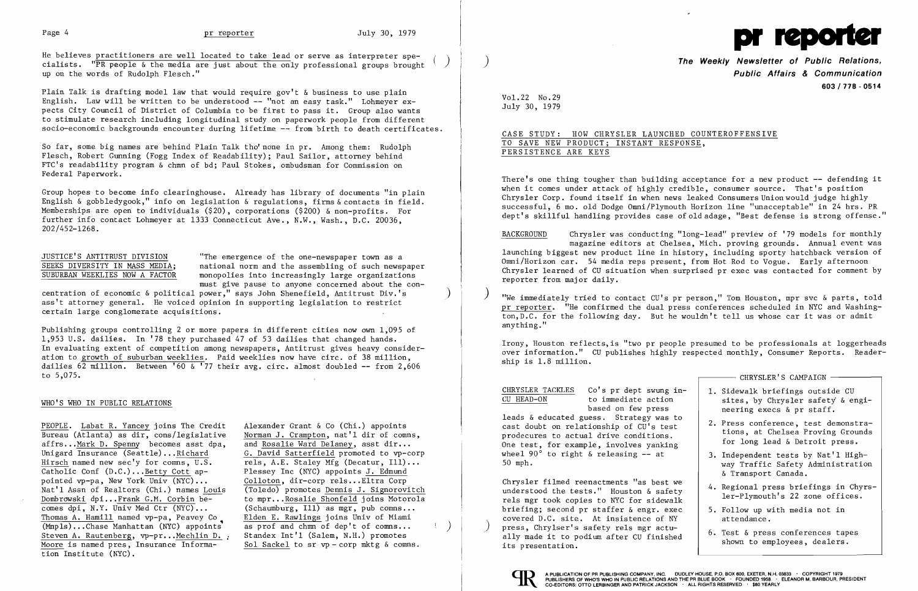

Plain Talk is drafting model law that would require gov't & business to use plain English. Law will be written to be understood -- "not an easy task." Lohmeyer expects City Council of District of Columbia to be first to pass it. Group also wants to stimulate research including longitudinal study on paperwork people from different socio-economic backgrounds encounter during lifetime -- from birth to death certificates.

He believes practitioners are well located to take lead or serve as interpreter specialists. "PR people  $\&$  the media are just about the only professional groups brought up on the words of Rudolph Flesch."

So far, some big names are behind Plain Talk tho'none in pr. Among them: Rudolph Flesch, Robert Gunning (Fogg Index of Readability); Paul Sailor, attorney behind FTC's readability program & chmn of bd; Paul Stokes, ombudsman for Commission on Federal Paperwork.

JUSTICE'S ANTITRUST DIVISION<br>
SEEKS DIVERSITY IN MASS MEDIA: national norm and the assembling of such newsp SEEKS DIVERSITY IN MASS MEDIA; national norm and the assembling of such newspaper<br>SUBURBAN WEEKLIES NOW A FACTOR monopolies into increasingly large organizations monopolies into increasingly large organizations must give pause to anyone concerned about the con-

Group hopes to become info clearinghouse. Already has library of documents "in plain English & gobbledygook," info on legislation & regulations, firms & contacts in field. Memberships are open to individuals (\$20), corporations (\$200) & non-profits. For further info contact Lohmeyer at 1333 Connecticut Ave., N.W., Wash., D.C. 20036, 202/452-1268.

centration of economic & political power," says John Shenefield, Antitrust Div.'s ) ass't attorney general. He voiced opinion in supporting legislation to restrict certain large conglomerate acquisitions.

**The Weekly Newsletter of Public Relations, Public Affairs & Communication 603/778 - 0514** 

Publishing groups controlling 2 or more papers in different cities now own 1,095 of 1,953 U.S. dailies. In '78 they purchased 47 of 53 dailies that changed hands. In evaluating extent of competition among newspapers, Antitrust gives heavy consideration to growth of suburban weeklies. Paid weeklies now have eire. of 38 million, dailies 62 million. Between '60 & '77 their avg. eire. almost doubled **--** from 2,606 to 5,075.

There's one thing tougher than building acceptance for a new product -- defending it when it comes under attack of highly credible, consumer source. That's position Chrysler Corp. found itself in when news leaked Consumers Union would judge highly successful, 6 mo. old Dodge Omni/P1ymouth Horizon line "unacceptable" in 24 hrs. PR dept's skillful handling provides case of old adage, "Best defense is strong offense."

# WHO'S WHO IN PUBLIC RELATIONS

"We immediately tried to contact CU's pr person," Tom Houston, mpr svc & parts, told pr reporter. "He confirmed the dual press conferences scheduled in NYC and Washington, D.C. for the following day. But he wouldn't tell us whose car it was or admit anything. "

|                                                                                                                                                                                                                                                                                                                                     | CHRYSLER'S CAMPAIGN -                                                                                                                                                                                                                                                                         |
|-------------------------------------------------------------------------------------------------------------------------------------------------------------------------------------------------------------------------------------------------------------------------------------------------------------------------------------|-----------------------------------------------------------------------------------------------------------------------------------------------------------------------------------------------------------------------------------------------------------------------------------------------|
| CHRYSLER TACKLES<br>Co's pr dept swung in-<br>CU HEAD-ON<br>to immediate action<br>based on few press<br>leads & educated guess. Strategy was to<br>cast doubt on relationship of CU's test<br>prodecures to actual drive conditions.<br>One test, for example, involves yanking<br>wheel 90° to right & releasing -- at<br>50 mph. | 1. Sidewalk briefings outside CU<br>sites, by Chrysler safety & engi-<br>neering execs & pr staff.<br>2. Press conference, test demonstra-<br>tions, at Chelsea Proving Grounds<br>for long lead & Detroit press.<br>3. Independent tests by Nat'l High-<br>way Traffic Safety Administration |
| Chrysler filmed reenactments "as best we<br>understood the tests." Houston & safety<br>rels mgr took copies to NYC for sidewalk<br>briefing; second pr staffer & engr. exec<br>covered D.C. site. At insistence of NY<br>press, Chrylser's safety rels mgr actu-<br>ally made it to podium after CU finished<br>its presentation.   | & Transport Canada.<br>4. Regional press briefings in Chyrs-<br>ler-Plymouth's 22 zone offices.<br>5. Follow up with media not in<br>attendance.<br>6. Test & press conferences tapes<br>shown to employees, dealers.                                                                         |

PEOPLE. Labat R. Yancey joins The Credit Alexander Grant & Co (Chi.) appoints Bureau (Atlanta) as  $\text{dir}, \text{cons/legis}$  lative Norman J. Crampton, nat'l dir of comns, affrs... Mark D. Spenny becomes asst dpa, and Rosalie Ward Delaney, asst dir... affrs...Mark D. Spenny becomes asst dpa,<br>Unigard Insurance (Seattle)...Richard Unigard Insurance (Seattle)... Richard G. David Satterfield promoted to vp-corp<br>Hirsch named new sec'y for comms, U.S. rels, A.E. Staley Mfg (Decatur, Ill)... Catholic Conf  $(D.C.).$  Betty Cott appointed vp-pa, New York Univ (NYC)...<br>Nat'l Assn of Realtors (Chi.) names Louis (Toledo) promotes Dennis J. Signorovitch Nat'l Assn of Realtors (Chi.) names Louis Dombrowski dpi...Frank G.M. Corbin be-<br>
comes dpi, N.Y. Univ Med Ctr (NYC)... (Schaumburg, Ill) as mgr, pub comns... comes dpi, N.Y. Univ Med Ctr (NYC)... (Schaumburg, Ill) as mgr, pub comns...<br>Thomas A. Hamill named vp-pa, Peavey Co Elden E. Rawlings joins Univ of Miami Thomas A. Hamill named vp-pa, Peavey Co Elden E. Rawlings joins Univ of Miami  $(Mnpls) \ldots$ Chase Manhattan (NYC) appoints as prof and chmn of dep't of comns... Steven A. Rautenberg, vp-pr...Mechlin D. . Moore is named pres, Insurance Informa- Sol Sackel to sr vp - corp mktg & comns. tion Institute (NYC).

rels, A.E. Staley Mfg (Decatur, Ill)...<br>Plessey Inc (NYC) appoints J. Edmund Standex Int'l (Salem, N.H.) promotes

Vol. 22 No. 29 July 30, 1979

CASE STUDY: HOW CHRYSLER LAUNCHED COUNTEROFFENSIVE TO SAVE NEW PRODUCT; INSTANT RESPONSE, PERSISTENCE ARE KEYS

BACKGROUND Chrysler was conducting "long-lead" preview of '79 models for monthly magazine editors at Chelsea, Mich. proving grounds. Annual event was launching biggest new product line in history, including sporty hatchback version of Omni/Horizon car. 54 media reps present, from Hot Rod to Vogue. Early afternoon Chrysler learned of CU situation when surprised pr exec was contacted for comment by reporter from major daily.

Irony, Houston ref1ects,is "two pr people presumed to be professionals at loggerheads over information." CU publishes highly respected monthly, Consumer Reports. Readership is 1.8 million.

Chrysler filmed reenactments "as best we understood the tests." Houston & safety rels mgr took copies to NYC for sidewalk briefing; second pr staffer & engr. exed covered D.C. site. At insistence of NY<br>press, Chrylser's safety rels mgr actuattendance.<br>
press, Chrylser's safety rels mgr actu-<br>
ally made it to podium after CU finished<br>
its presentation.<br>
its presentation.